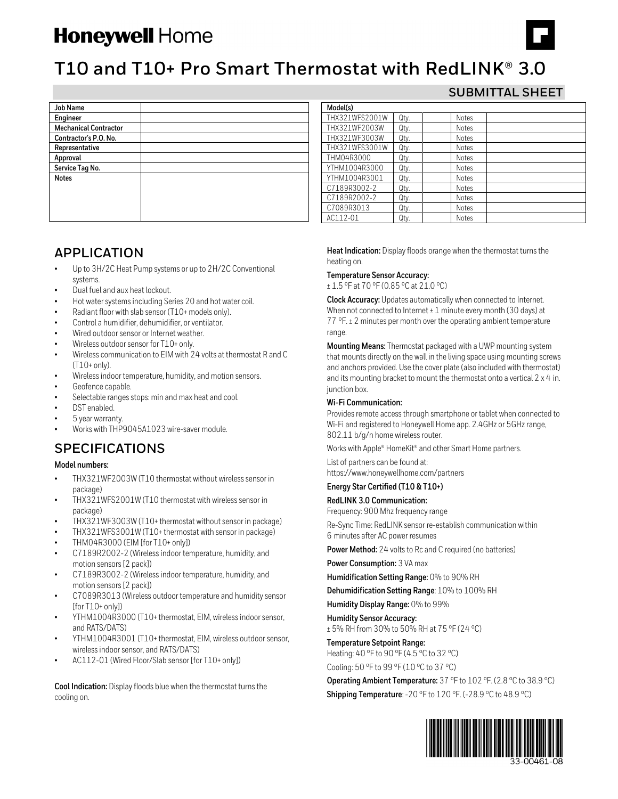# **Honeywell Home**



**SUBMITTAL SHEET**

## **T10 and T10+ Pro Smart Thermostat with RedLINK® 3.0**

**Model(s)**

| <b>Job Name</b>              |  |
|------------------------------|--|
| Engineer                     |  |
| <b>Mechanical Contractor</b> |  |
| Contractor's P.O. No.        |  |
| Representative               |  |
| Approval                     |  |
| Service Tag No.              |  |
| <b>Notes</b>                 |  |
|                              |  |
|                              |  |
|                              |  |
|                              |  |

## **APPLICATION**

- Up to 3H/2C Heat Pump systems or up to 2H/2C Conventional systems.
- Dual fuel and aux heat lockout.
- Hot water systems including Series 20 and hot water coil.
- Radiant floor with slab sensor (T10+ models only).
- Control a humidifier, dehumidifier, or ventilator.
- Wired outdoor sensor or Internet weather.
- Wireless outdoor sensor for T10+ only.
- Wireless communication to EIM with 24 volts at thermostat R and C (T10+ only).
- Wireless indoor temperature, humidity, and motion sensors.
- Geofence capable.
- Selectable ranges stops: min and max heat and cool.
- DST enabled.
- 5 year warranty.
- Works with THP9045A1023 wire-saver module.

## **SPECIFICATIONS**

#### **Model numbers:**

- THX321WF2003W (T10 thermostat without wireless sensor in package)
- THX321WFS2001W (T10 thermostat with wireless sensor in package)
- THX321WF3003W (T10+ thermostat without sensor in package)
- THX321WFS3001W (T10+ thermostat with sensor in package)
- THM04R3000 (EIM [for T10+ only])
- C7189R2002-2 (Wireless indoor temperature, humidity, and motion sensors [2 pack])
- C7189R3002-2 (Wireless indoor temperature, humidity, and motion sensors [2 pack])
- C7089R3013 (Wireless outdoor temperature and humidity sensor [for T10+ only])
- YTHM1004R3000 (T10+ thermostat, EIM, wireless indoor sensor, and RATS/DATS)
- YTHM1004R3001 (T10+ thermostat, EIM, wireless outdoor sensor, wireless indoor sensor, and RATS/DATS)
- AC112-01 (Wired Floor/Slab sensor [for T10+ only])

**Cool Indication:** Display floods blue when the thermostat turns the cooling on.

**Heat Indication:** Display floods orange when the thermostat turns the heating on.

#### **Temperature Sensor Accuracy:**

± 1.5 °F at 70 °F (0.85 °C at 21.0 °C)

THX321WFS2001W Qty. Notes THX321WF2003W Qty. Notes THX321WF3003W Qty. Notes THX321WFS3001W Qty. Notes THM04R3000 Qty. Notes YTHM1004R3000 Qty. Notes YTHM1004R3001 Qty. Notes C7189R3002-2 Qty. Notes C7189R2002-2 Qty. Notes C7089R3013 Qty. Notes AC112-01 Qty. Notes

**Clock Accuracy:** Updates automatically when connected to Internet. When not connected to Internet  $\pm 1$  minute every month (30 days) at 77 °F. ± 2 minutes per month over the operating ambient temperature range.

**Mounting Means:** Thermostat packaged with a UWP mounting system that mounts directly on the wall in the living space using mounting screws and anchors provided. Use the cover plate (also included with thermostat) and its mounting bracket to mount the thermostat onto a vertical 2 x 4 in. junction box.

#### **Wi-Fi Communication:**

Provides remote access through smartphone or tablet when connected to Wi-Fi and registered to Honeywell Home app. 2.4GHz or 5GHz range, 802.11 b/g/n home wireless router.

Works with Apple® HomeKit® and other Smart Home partners.

List of partners can be found at: https://www.honeywellhome.com/partners

#### **Energy Star Certified (T10 & T10+)**

#### **RedLINK 3.0 Communication:**

Frequency: 900 Mhz frequency range

Re-Sync Time: RedLINK sensor re-establish communication within 6 minutes after AC power resumes

**Power Method:** 24 volts to Rc and C required (no batteries)

**Power Consumption:** 3 VA max

**Humidification Setting Range:** 0% to 90% RH

**Dehumidification Setting Range**: 10% to 100% RH

**Humidity Display Range:** 0% to 99%

**Humidity Sensor Accuracy:** ± 5% RH from 30% to 50% RH at 75 °F (24 °C)

**Temperature Setpoint Range:**

Heating: 40 °F to 90 °F (4.5 °C to 32 °C)

Cooling: 50 °F to 99 °F (10 °C to 37 °C)

**Operating Ambient Temperature:** 37 °F to 102 °F. (2.8 °C to 38.9 °C) **Shipping Temperature**: -20 °F to 120 °F. (-28.9 °C to 48.9 °C)